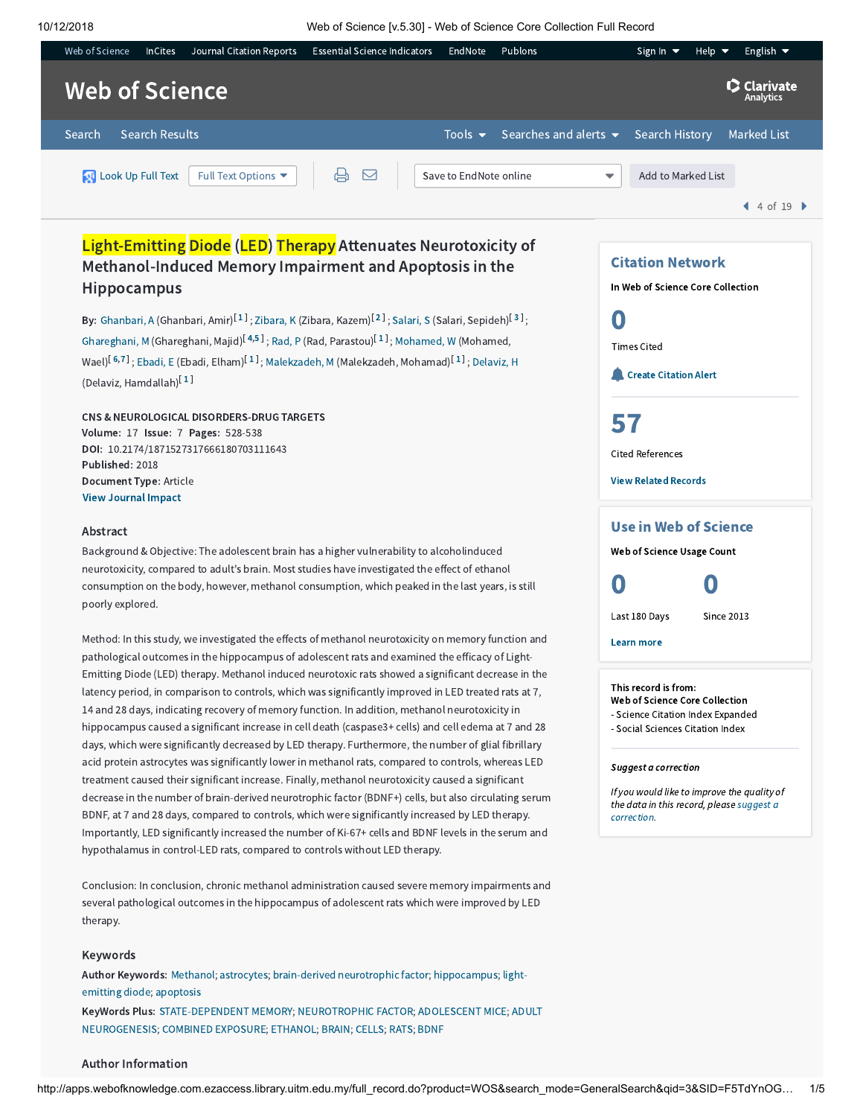10/12/2018 Web of Science [v.5.30] - Web of Science Core Collection Full Record



# Light-Emitting Diode (LED) Therapy Attenuates Neurotoxicity of Methanol-Induced Memory Impairment and Apoptosis in the Hippocampus

By: [Ghanbari,](http://apps.webofknowledge.com.ezaccess.library.uitm.edu.my/OneClickSearch.do?product=WOS&search_mode=OneClickSearch&excludeEventConfig=ExcludeIfFromFullRecPage&colName=WOS&SID=F5TdYnOGCQ3W51GWUGW&field=AU&value=Ghanbari,%20A) A (Ghanbari, Amir) $^{\lceil 1 \rceil};$  $^{\lceil 1 \rceil};$  $^{\lceil 1 \rceil};$  [Zibara,](http://apps.webofknowledge.com.ezaccess.library.uitm.edu.my/OneClickSearch.do?product=WOS&search_mode=OneClickSearch&excludeEventConfig=ExcludeIfFromFullRecPage&colName=WOS&SID=F5TdYnOGCQ3W51GWUGW&field=AU&value=Zibara,%20K) K (Zibara, Kazem) $^{\lceil 2 \rceil};$  $^{\lceil 2 \rceil};$  $^{\lceil 2 \rceil};$  [Salari,](http://apps.webofknowledge.com.ezaccess.library.uitm.edu.my/OneClickSearch.do?product=WOS&search_mode=OneClickSearch&excludeEventConfig=ExcludeIfFromFullRecPage&colName=WOS&SID=F5TdYnOGCQ3W51GWUGW&field=AU&value=Salari,%20S) S (Salari, Sepideh) $^{\lceil 3 \rceil};$  $^{\lceil 3 \rceil};$  $^{\lceil 3 \rceil};$ [Ghareghani,](http://apps.webofknowledge.com.ezaccess.library.uitm.edu.my/OneClickSearch.do?product=WOS&search_mode=OneClickSearch&excludeEventConfig=ExcludeIfFromFullRecPage&colName=WOS&SID=F5TdYnOGCQ3W51GWUGW&field=AU&value=Ghareghani,%20M) M (Ghareghani, Majid)<sup>[[4](javascript:sup_focus()[,5](javascript:sup_focus()]</sup>; [Rad,](http://apps.webofknowledge.com.ezaccess.library.uitm.edu.my/OneClickSearch.do?product=WOS&search_mode=OneClickSearch&excludeEventConfig=ExcludeIfFromFullRecPage&colName=WOS&SID=F5TdYnOGCQ3W51GWUGW&field=AU&value=Rad,%20P) P (Rad, Parastou)<sup>[[1](javascript:sup_focus()]</sup>; [Mohamed,](http://apps.webofknowledge.com.ezaccess.library.uitm.edu.my/OneClickSearch.do?product=WOS&search_mode=OneClickSearch&excludeEventConfig=ExcludeIfFromFullRecPage&colName=WOS&SID=F5TdYnOGCQ3W51GWUGW&field=AU&value=Mohamed,%20W) W (Mohamed, Wael) $^{\left[\,6,7\,\right]}$  $^{\left[\,6,7\,\right]}$  $^{\left[\,6,7\,\right]}$  $^{\left[\,6,7\,\right]}$ ; [Ebadi,](http://apps.webofknowledge.com.ezaccess.library.uitm.edu.my/OneClickSearch.do?product=WOS&search_mode=OneClickSearch&excludeEventConfig=ExcludeIfFromFullRecPage&colName=WOS&SID=F5TdYnOGCQ3W51GWUGW&field=AU&value=Ebadi,%20E) E (Ebadi, Elham) $^{\left[\,1\,\right]}$  $^{\left[\,1\,\right]}$  $^{\left[\,1\,\right]}$ ; [Malekzadeh,](http://apps.webofknowledge.com.ezaccess.library.uitm.edu.my/OneClickSearch.do?product=WOS&search_mode=OneClickSearch&excludeEventConfig=ExcludeIfFromFullRecPage&colName=WOS&SID=F5TdYnOGCQ3W51GWUGW&field=AU&value=Malekzadeh,%20M) M (Malekzadeh, Mohamad) $^{\left[\,1\,\right]}$ ; [Delaviz,](http://apps.webofknowledge.com.ezaccess.library.uitm.edu.my/OneClickSearch.do?product=WOS&search_mode=OneClickSearch&excludeEventConfig=ExcludeIfFromFullRecPage&colName=WOS&SID=F5TdYnOGCQ3W51GWUGW&field=AU&value=Delaviz,%20H) H (Delaviz, Hamdallah) [ [1](javascript:sup_focus() ]

CNS & NEUROLOGICAL DISORDERS-DRUG TARGETS Volume: 17 Issue: 7 Pages: 528-538 DOI: 10.2174/1871527317666180703111643 Published: 2018 Document Type: Article [View Journal](javascript:;) Impact

## Abstract

Background & Objective: The adolescent brain has a higher vulnerability to alcoholinduced neurotoxicity, compared to adult's brain. Most studies have investigated the effect of ethanol consumption on the body, however, methanol consumption, which peaked in the last years, is still poorly explored.

Method: In this study, we investigated the effects of methanol neurotoxicity on memory function and pathological outcomes in the hippocampus of adolescent rats and examined the efficacy of Light-Emitting Diode (LED) therapy. Methanol induced neurotoxic rats showed a significant decrease in the latency period, in comparison to controls, which was significantly improved in LED treated rats at 7, 14 and 28 days, indicating recovery of memory function. In addition, methanol neurotoxicity in hippocampus caused a significant increase in cell death (caspase3+ cells) and cell edema at 7 and 28 days, which were significantly decreased by LED therapy. Furthermore, the number of glial fibrillary acid protein astrocytes was significantly lower in methanol rats, compared to controls, whereas LED treatment caused their significant increase. Finally, methanol neurotoxicity caused a significant decrease in the number of brain-derived neurotrophic factor (BDNF+) cells, but also circulating serum BDNF, at 7 and 28 days, compared to controls, which were significantly increased by LED therapy. Importantly, LED significantly increased the number of Ki-67+ cells and BDNF levels in the serum and hypothalamus in control-LED rats, compared to controls without LED therapy.

Conclusion: In conclusion, chronic methanol administration caused severe memory impairments and several pathological outcomes in the hippocampus of adolescent rats which were improved by LED therapy.

#### Keywords

[Author Keywords:](http://apps.webofknowledge.com.ezaccess.library.uitm.edu.my/OneClickSearch.do?product=WOS&search_mode=OneClickSearch&excludeEventConfig=ExcludeIfFromFullRecPage&colName=WOS&SID=F5TdYnOGCQ3W51GWUGW&field=TS&value=light-emitting+diode&uncondQuotes=true) [Methanol](http://apps.webofknowledge.com.ezaccess.library.uitm.edu.my/OneClickSearch.do?product=WOS&search_mode=OneClickSearch&excludeEventConfig=ExcludeIfFromFullRecPage&colName=WOS&SID=F5TdYnOGCQ3W51GWUGW&field=TS&value=Methanol&uncondQuotes=true); [astrocytes](http://apps.webofknowledge.com.ezaccess.library.uitm.edu.my/OneClickSearch.do?product=WOS&search_mode=OneClickSearch&excludeEventConfig=ExcludeIfFromFullRecPage&colName=WOS&SID=F5TdYnOGCQ3W51GWUGW&field=TS&value=astrocytes&uncondQuotes=true); [brain-derived](http://apps.webofknowledge.com.ezaccess.library.uitm.edu.my/OneClickSearch.do?product=WOS&search_mode=OneClickSearch&excludeEventConfig=ExcludeIfFromFullRecPage&colName=WOS&SID=F5TdYnOGCQ3W51GWUGW&field=TS&value=brain-derived+neurotrophic+factor&uncondQuotes=true) neurotrophic factor; [hippocampus;](http://apps.webofknowledge.com.ezaccess.library.uitm.edu.my/OneClickSearch.do?product=WOS&search_mode=OneClickSearch&excludeEventConfig=ExcludeIfFromFullRecPage&colName=WOS&SID=F5TdYnOGCQ3W51GWUGW&field=TS&value=hippocampus&uncondQuotes=true) lightemitting diode; [apoptosis](http://apps.webofknowledge.com.ezaccess.library.uitm.edu.my/OneClickSearch.do?product=WOS&search_mode=OneClickSearch&excludeEventConfig=ExcludeIfFromFullRecPage&colName=WOS&SID=F5TdYnOGCQ3W51GWUGW&field=TS&value=apoptosis&uncondQuotes=true) KeyWords Plus: [STATE-DEPENDENT](http://apps.webofknowledge.com.ezaccess.library.uitm.edu.my/OneClickSearch.do?product=WOS&search_mode=OneClickSearch&excludeEventConfig=ExcludeIfFromFullRecPage&colName=WOS&SID=F5TdYnOGCQ3W51GWUGW&field=TS&value=STATE-DEPENDENT+MEMORY&uncondQuotes=true) MEMORY; [NEUROTROPHIC](http://apps.webofknowledge.com.ezaccess.library.uitm.edu.my/OneClickSearch.do?product=WOS&search_mode=OneClickSearch&excludeEventConfig=ExcludeIfFromFullRecPage&colName=WOS&SID=F5TdYnOGCQ3W51GWUGW&field=TS&value=NEUROTROPHIC+FACTOR&uncondQuotes=true) FACTOR; [ADOLESCENT](http://apps.webofknowledge.com.ezaccess.library.uitm.edu.my/OneClickSearch.do?product=WOS&search_mode=OneClickSearch&excludeEventConfig=ExcludeIfFromFullRecPage&colName=WOS&SID=F5TdYnOGCQ3W51GWUGW&field=TS&value=ADOLESCENT+MICE&uncondQuotes=true) MICE; ADULT NEUROGENESIS; COMBINED [EXPOSURE](http://apps.webofknowledge.com.ezaccess.library.uitm.edu.my/OneClickSearch.do?product=WOS&search_mode=OneClickSearch&excludeEventConfig=ExcludeIfFromFullRecPage&colName=WOS&SID=F5TdYnOGCQ3W51GWUGW&field=TS&value=COMBINED+EXPOSURE&uncondQuotes=true); [ETHANOL;](http://apps.webofknowledge.com.ezaccess.library.uitm.edu.my/OneClickSearch.do?product=WOS&search_mode=OneClickSearch&excludeEventConfig=ExcludeIfFromFullRecPage&colName=WOS&SID=F5TdYnOGCQ3W51GWUGW&field=TS&value=ETHANOL&uncondQuotes=true) [BRAIN;](http://apps.webofknowledge.com.ezaccess.library.uitm.edu.my/OneClickSearch.do?product=WOS&search_mode=OneClickSearch&excludeEventConfig=ExcludeIfFromFullRecPage&colName=WOS&SID=F5TdYnOGCQ3W51GWUGW&field=TS&value=BRAIN&uncondQuotes=true) [CELLS;](http://apps.webofknowledge.com.ezaccess.library.uitm.edu.my/OneClickSearch.do?product=WOS&search_mode=OneClickSearch&excludeEventConfig=ExcludeIfFromFullRecPage&colName=WOS&SID=F5TdYnOGCQ3W51GWUGW&field=TS&value=CELLS&uncondQuotes=true) [RATS](http://apps.webofknowledge.com.ezaccess.library.uitm.edu.my/OneClickSearch.do?product=WOS&search_mode=OneClickSearch&excludeEventConfig=ExcludeIfFromFullRecPage&colName=WOS&SID=F5TdYnOGCQ3W51GWUGW&field=TS&value=RATS&uncondQuotes=true); [BDNF](http://apps.webofknowledge.com.ezaccess.library.uitm.edu.my/OneClickSearch.do?product=WOS&search_mode=OneClickSearch&excludeEventConfig=ExcludeIfFromFullRecPage&colName=WOS&SID=F5TdYnOGCQ3W51GWUGW&field=TS&value=BDNF&uncondQuotes=true)

#### Author Information

In Web of Science Core Collection 0 Times Cited **Create [Citation](javascript:csiovl() Alert** 

Citation Network

[57](http://apps.webofknowledge.com.ezaccess.library.uitm.edu.my/InterService.do?product=WOS&toPID=WOS&action=AllCitationService&isLinks=yes&highlighted_tab=WOS&last_prod=WOS&fromPID=WOS&returnLink=http%3a%2f%2fapps.webofknowledge.com%2ffull_record.do%3fhighlighted_tab%3dWOS%26last_prod%3dWOS%26search_mode%3dGeneralSearch%26qid%3d3%26log_event%3dyes%26product%3dWOS%26SID%3dF5TdYnOGCQ3W51GWUGW%26viewType%3dfullRecord%26doc%3d4%26page%3d1&srcDesc=RET2WOS&srcAlt=Back+to+Web+of+Science&UT=WOS:000445522500005&search_mode=CitedRefList&SID=F5TdYnOGCQ3W51GWUGW&parentProduct=WOS&parentQid=3&parentDoc=4&recid=WOS:000445522500005&PREC_REFCOUNT=57&fromRightPanel=true)

Cited References

View Related [Records](http://apps.webofknowledge.com.ezaccess.library.uitm.edu.my/InterService.do?product=WOS&toPID=WOS&action=AllCitationService&isLinks=yes&highlighted_tab=WOS&last_prod=WOS&fromPID=WOS&returnLink=http%3a%2f%2fapps.webofknowledge.com%2ffull_record.do%3fhighlighted_tab%3dWOS%26last_prod%3dWOS%26search_mode%3dGeneralSearch%26qid%3d3%26log_event%3dyes%26product%3dWOS%26SID%3dF5TdYnOGCQ3W51GWUGW%26viewType%3dfullRecord%26doc%3d4%26page%3d1&srcDesc=RET2WOS&srcAlt=Back+to+Web+of+Science&UT=WOS:000445522500005&parentProduct=WOS&parentQid=3&search_mode=RelatedRecords&SID=F5TdYnOGCQ3W51GWUGW&parentDoc=4)

## Use in Web of Science

Web of Science Usage Count

0 0

Last 180 Days Since 2013

Learn more

### This record is from:

Web of Science Core Collection

- Science Citation Index Expanded
- Social Sciences Citation Index

## Suggest a correction

If you would like to improve the quality of the data in this record, please suggest a [correction.](javascript:;)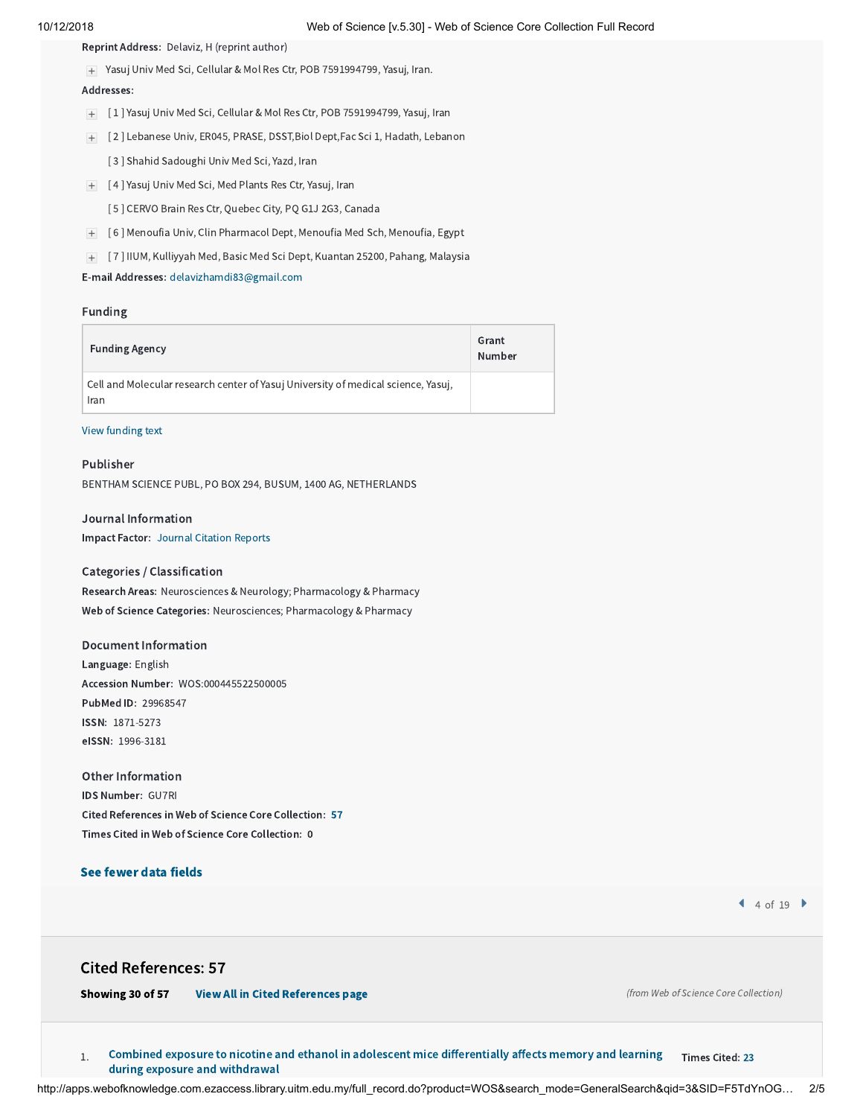Reprint Address: Delaviz, H (reprint author)

Yasuj Univ Med Sci, Cellular & Mol Res Ctr, POB 7591994799, Yasuj, Iran.

### Addresses:

- [ 1 ] Yasuj Univ Med Sci, Cellular & Mol Res Ctr, POB 7591994799, Yasuj, Iran
- [ 2 ] Lebanese Univ, ER045, PRASE, DSST,Biol Dept,Fac Sci 1, Hadath, Lebanon
	- [ 3 ] Shahid Sadoughi Univ Med Sci, Yazd, Iran
- [ 4 ] Yasuj Univ Med Sci, Med Plants Res Ctr, Yasuj, Iran
	- [ 5 ] CERVO Brain Res Ctr, Quebec City, PQ G1J 2G3, Canada
- [ 6 ] Menoufia Univ, Clin Pharmacol Dept, Menoufia Med Sch, Menoufia, Egypt
- [ 7 ] IIUM, Kulliyyah Med, Basic Med Sci Dept, Kuantan 25200, Pahang, Malaysia

E-mail Addresses: [delavizhamdi83@gmail.com](mailto:delavizhamdi83@gmail.com)

## Funding

| <b>Funding Agency</b>                                                                     | Grant<br>Number |
|-------------------------------------------------------------------------------------------|-----------------|
| Cell and Molecular research center of Yasuj University of medical science, Yasuj,<br>Iran |                 |

## View [funding](javascript:hide_show() text

## Publisher

BENTHAM SCIENCE PUBL, PO BOX 294, BUSUM, 1400 AG, NETHERLANDS

## Journal Information

Impact Factor: Journal [Citation](javascript:;) Reports

## Categories / Classification

Research Areas: Neurosciences & Neurology; Pharmacology & Pharmacy Web of Science Categories: Neurosciences; Pharmacology & Pharmacy

## Document Information

Language: English Accession Number: WOS:000445522500005 PubMed ID: 29968547 ISSN: 1871-5273 eISSN: 1996-3181

## Other Information

IDS Number: GU7RI Cited References in Web of Science Core Collection: [57](http://apps.webofknowledge.com.ezaccess.library.uitm.edu.my/CitedRefList.do?product=WOS&search_mode=CitedRefList&SID=F5TdYnOGCQ3W51GWUGW&colName=WOS&parentProduct=WOS&parentQid=3&parentDoc=4&recid=WOS:000445522500005&UT=WOS:000445522500005) Times Cited in Web of Science Core Collection: 0

## See fewer data fields

 $4$  of 19  $\blacktriangleright$ 

## Cited References: 57

Showing 30 of 57 [View All in Cited References page](http://apps.webofknowledge.com.ezaccess.library.uitm.edu.my/summary.do?product=WOS&parentProduct=WOS&search_mode=CitedRefList&parentQid=3&parentDoc=4&qid=4&SID=F5TdYnOGCQ3W51GWUGW&colName=WOS&page=1)

(from Web of Science Core Collection)

 $_{1.}$  Combined exposure to nicotine and ethanol in adolescent mice [differentially](http://apps.webofknowledge.com.ezaccess.library.uitm.edu.my/CitedFullRecord.do?product=WOS&colName=WOS&SID=F5TdYnOGCQ3W51GWUGW&search_mode=CitedFullRecord&isickref=WOS:000247512900014) affects memory and learning  $-$  Times Cited: [23](http://apps.webofknowledge.com.ezaccess.library.uitm.edu.my/CitingArticles.do?product=WOS&SID=F5TdYnOGCQ3W51GWUGW&search_mode=CitingArticles&parentProduct=WOS&parentQid=4&parentDoc=1&REFID=76972443&excludeEventConfig=ExcludeIfFromNonInterProduct) during exposure and withdrawal

http://apps.webofknowledge.com.ezaccess.library.uitm.edu.my/full\_record.do?product=WOS&search\_mode=GeneralSearch&qid=3&SID=F5TdYnOG… 2/5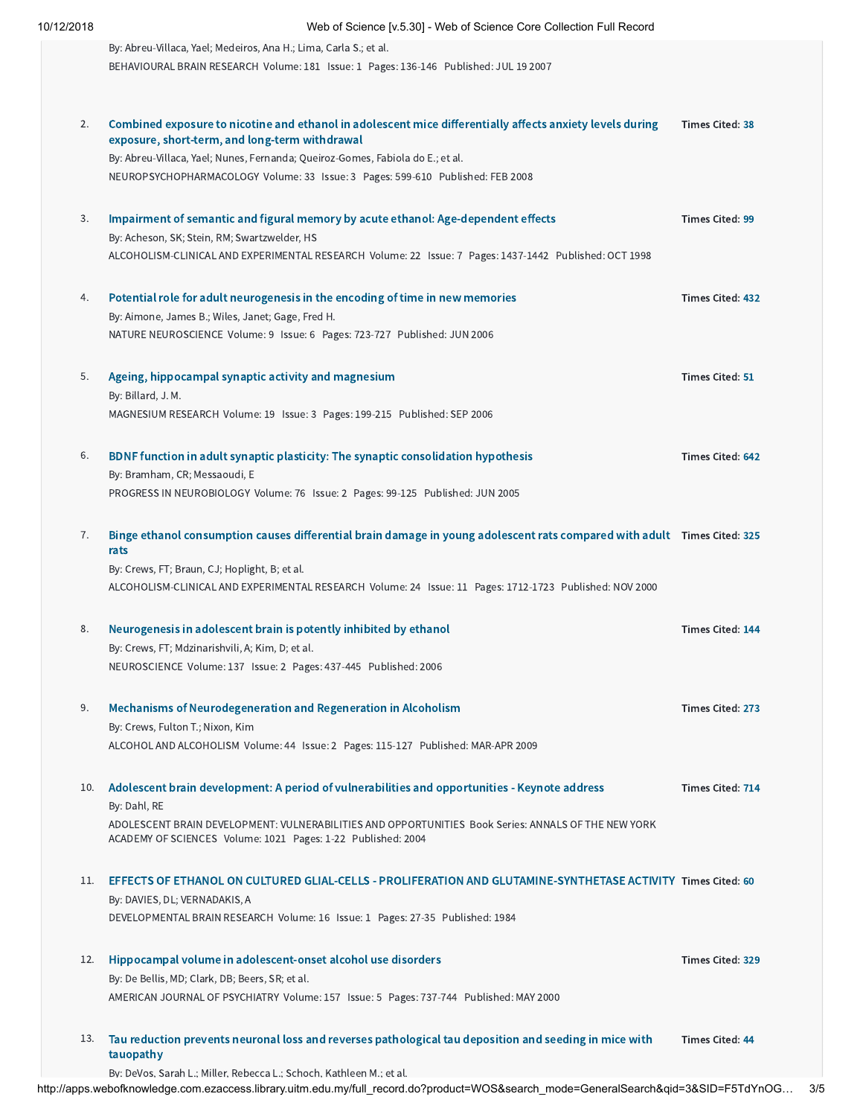| 10/12/2018 | Web of Science [v.5.30] - Web of Science Core Collection Full Record                                                     |                  |
|------------|--------------------------------------------------------------------------------------------------------------------------|------------------|
|            | By: Abreu-Villaca, Yael; Medeiros, Ana H.; Lima, Carla S.; et al.                                                        |                  |
|            | BEHAVIOURAL BRAIN RESEARCH Volume: 181 Issue: 1 Pages: 136-146 Published: JUL 19 2007                                    |                  |
|            |                                                                                                                          |                  |
|            |                                                                                                                          |                  |
| 2.         | Combined exposure to nicotine and ethanol in adolescent mice differentially affects anxiety levels during                | Times Cited: 38  |
|            | exposure, short-term, and long-term withdrawal                                                                           |                  |
|            | By: Abreu-Villaca, Yael; Nunes, Fernanda; Queiroz-Gomes, Fabiola do E.; et al.                                           |                  |
|            | NEUROPSYCHOPHARMACOLOGY Volume: 33 Issue: 3 Pages: 599-610 Published: FEB 2008                                           |                  |
|            |                                                                                                                          |                  |
| 3.         | Impairment of semantic and figural memory by acute ethanol: Age-dependent effects                                        | Times Cited: 99  |
|            | By: Acheson, SK; Stein, RM; Swartzwelder, HS                                                                             |                  |
|            | ALCOHOLISM-CLINICAL AND EXPERIMENTAL RESEARCH Volume: 22 Issue: 7 Pages: 1437-1442 Published: OCT 1998                   |                  |
|            |                                                                                                                          |                  |
| 4.         | Potential role for adult neurogenesis in the encoding of time in new memories                                            | Times Cited: 432 |
|            | By: Aimone, James B.; Wiles, Janet; Gage, Fred H.                                                                        |                  |
|            | NATURE NEUROSCIENCE Volume: 9 Issue: 6 Pages: 723-727 Published: JUN 2006                                                |                  |
|            |                                                                                                                          |                  |
| 5.         | Ageing, hippocampal synaptic activity and magnesium<br>By: Billard, J. M.                                                | Times Cited: 51  |
|            | MAGNESIUM RESEARCH Volume: 19 Issue: 3 Pages: 199-215 Published: SEP 2006                                                |                  |
|            |                                                                                                                          |                  |
| 6.         | BDNF function in adult synaptic plasticity: The synaptic consolidation hypothesis                                        | Times Cited: 642 |
|            | By: Bramham, CR; Messaoudi, E                                                                                            |                  |
|            | PROGRESS IN NEUROBIOLOGY Volume: 76 Issue: 2 Pages: 99-125 Published: JUN 2005                                           |                  |
|            |                                                                                                                          |                  |
| 7.         | Binge ethanol consumption causes differential brain damage in young adolescent rats compared with adult Times Cited: 325 |                  |
|            | rats                                                                                                                     |                  |
|            | By: Crews, FT; Braun, CJ; Hoplight, B; et al.                                                                            |                  |
|            | ALCOHOLISM-CLINICAL AND EXPERIMENTAL RESEARCH Volume: 24 Issue: 11 Pages: 1712-1723 Published: NOV 2000                  |                  |
|            |                                                                                                                          |                  |
| 8.         | Neurogenesis in adolescent brain is potently inhibited by ethanol                                                        | Times Cited: 144 |
|            | By: Crews, FT; Mdzinarishvili, A; Kim, D; et al.                                                                         |                  |
|            | NEUROSCIENCE Volume: 137 Issue: 2 Pages: 437-445 Published: 2006                                                         |                  |
|            |                                                                                                                          |                  |
| 9.         | Mechanisms of Neurodegeneration and Regeneration in Alcoholism                                                           | Times Cited: 273 |
|            | By: Crews, Fulton T.; Nixon, Kim                                                                                         |                  |
|            | ALCOHOL AND ALCOHOLISM Volume: 44 Issue: 2 Pages: 115-127 Published: MAR-APR 2009                                        |                  |
|            |                                                                                                                          |                  |
| 10.        | Adolescent brain development: A period of vulnerabilities and opportunities - Keynote address                            | Times Cited: 714 |
|            | By: Dahl, RE                                                                                                             |                  |
|            | ADOLESCENT BRAIN DEVELOPMENT: VULNERABILITIES AND OPPORTUNITIES Book Series: ANNALS OF THE NEW YORK                      |                  |
|            | ACADEMY OF SCIENCES Volume: 1021 Pages: 1-22 Published: 2004                                                             |                  |
| 11.        | EFFECTS OF ETHANOL ON CULTURED GLIAL-CELLS - PROLIFERATION AND GLUTAMINE-SYNTHETASE ACTIVITY Times Cited: 60             |                  |
|            | By: DAVIES, DL; VERNADAKIS, A                                                                                            |                  |
|            | DEVELOPMENTAL BRAIN RESEARCH Volume: 16 Issue: 1 Pages: 27-35 Published: 1984                                            |                  |
|            |                                                                                                                          |                  |
| 12.        | Hippocampal volume in adolescent-onset alcohol use disorders                                                             | Times Cited: 329 |
|            | By: De Bellis, MD; Clark, DB; Beers, SR; et al.                                                                          |                  |
|            | AMERICAN JOURNAL OF PSYCHIATRY Volume: 157 Issue: 5 Pages: 737-744 Published: MAY 2000                                   |                  |
|            |                                                                                                                          |                  |
| 13.        | Tau reduction prevents neuronal loss and reverses pathological tau deposition and seeding in mice with                   | Times Cited: 44  |
|            | tauopathy                                                                                                                |                  |

By: DeVos, Sarah L.; Miller, Rebecca L.; Schoch, Kathleen M.; et al.

http://apps.webofknowledge.com.ezaccess.library.uitm.edu.my/full\_record.do?product=WOS&search\_mode=GeneralSearch&qid=3&SID=F5TdYnOG… 3/5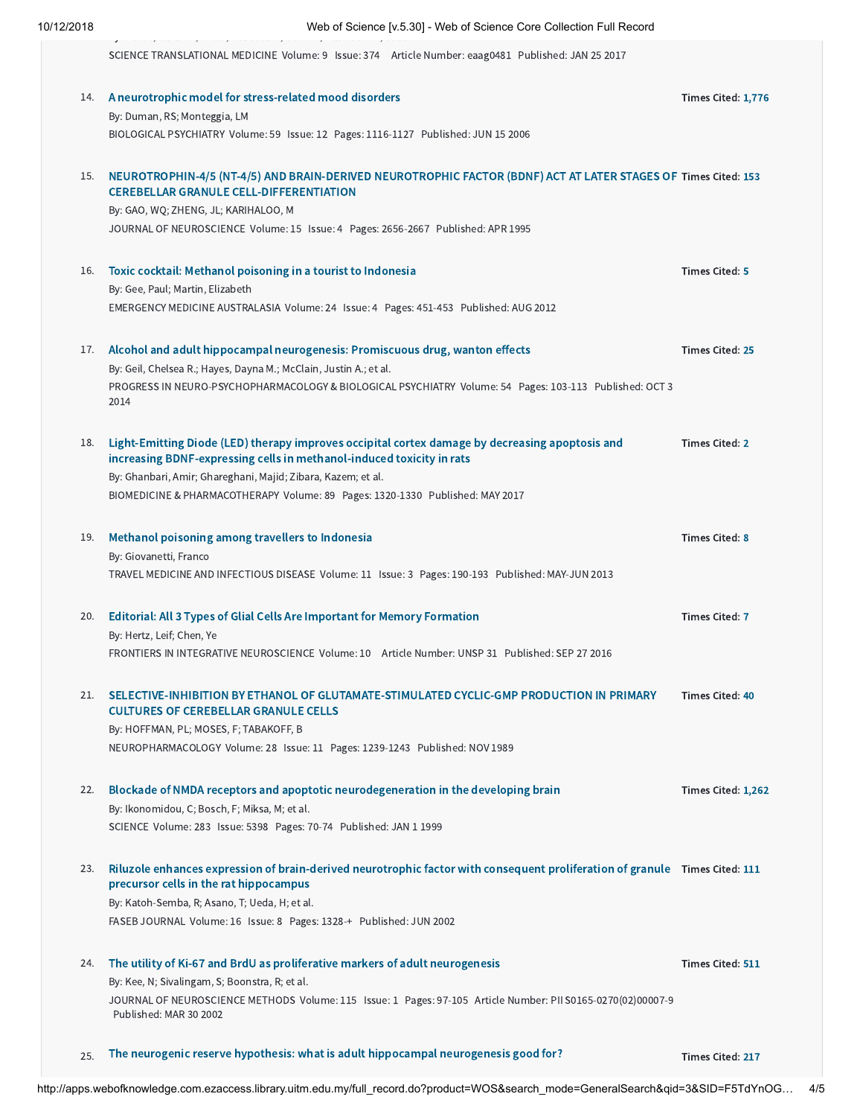| 10/12/2018 |  |  |  |
|------------|--|--|--|
|            |  |  |  |

| 10/12/2018 | Web of Science [v.5.30] - Web of Science Core Collection Full Record                                                                                                                                     |                    |  |  |  |
|------------|----------------------------------------------------------------------------------------------------------------------------------------------------------------------------------------------------------|--------------------|--|--|--|
|            | SCIENCE TRANSLATIONAL MEDICINE Volume: 9 Issue: 374 Article Number: eaag0481 Published: JAN 25 2017                                                                                                      |                    |  |  |  |
| 14.        | A neurotrophic model for stress-related mood disorders<br>By: Duman, RS; Monteggia, LM<br>BIOLOGICAL PSYCHIATRY Volume: 59 Issue: 12 Pages: 1116-1127 Published: JUN 15 2006                             | Times Cited: 1,776 |  |  |  |
| 15.        | NEUROTROPHIN-4/5 (NT-4/5) AND BRAIN-DERIVED NEUROTROPHIC FACTOR (BDNF) ACT AT LATER STAGES OF Times Cited: 153<br><b>CEREBELLAR GRANULE CELL-DIFFERENTIATION</b><br>By: GAO, WO; ZHENG, JL; KARIHALOO, M |                    |  |  |  |

JOURNAL OF NEUROSCIENCE Volume: 15 Issue: 4 Pages: 2656-2667 Published: APR 1995

16. Toxic cocktail: Methanol [poisoning](http://apps.webofknowledge.com.ezaccess.library.uitm.edu.my/CitedFullRecord.do?product=WOS&colName=WOS&SID=F5TdYnOGCQ3W51GWUGW&search_mode=CitedFullRecord&isickref=WOS:000307119800015) in a tourist to Indonesia By: Gee, Paul; Martin, Elizabeth EMERGENCY MEDICINE AUSTRALASIA Volume: 24 Issue: 4 Pages: 451-453 Published: AUG 2012

## 17. Alcohol and adult hippocampal [neurogenesis:](http://apps.webofknowledge.com.ezaccess.library.uitm.edu.my/CitedFullRecord.do?product=WOS&colName=WOS&SID=F5TdYnOGCQ3W51GWUGW&search_mode=CitedFullRecord&isickref=WOS:000341167800013) Promiscuous drug, wanton effects By: Geil, Chelsea R.; Hayes, Dayna M.; McClain, Justin A.; et al. PROGRESS IN NEURO-PSYCHOPHARMACOLOGY & BIOLOGICAL PSYCHIATRY Volume: 54 Pages: 103-113 Published: OCT 3 2014 Times Cited: [25](http://apps.webofknowledge.com.ezaccess.library.uitm.edu.my/CitingArticles.do?product=WOS&SID=F5TdYnOGCQ3W51GWUGW&search_mode=CitingArticles&parentProduct=WOS&parentQid=4&parentDoc=17&REFID=475654795&excludeEventConfig=ExcludeIfFromNonInterProduct)

Light-Emitting Diode (LED) therapy improves occipital cortex damage by decreasing apoptosis and 18. increasing BDNF-expressing cells in [methanol-induced](http://apps.webofknowledge.com.ezaccess.library.uitm.edu.my/CitedFullRecord.do?product=WOS&colName=WOS&SID=F5TdYnOGCQ3W51GWUGW&search_mode=CitedFullRecord&isickref=WOS:000402468200149) toxicity in rats By: Ghanbari, Amir; Ghareghani, Majid; Zibara, Kazem; et al. Times Cited: [2](http://apps.webofknowledge.com.ezaccess.library.uitm.edu.my/CitingArticles.do?product=WOS&SID=F5TdYnOGCQ3W51GWUGW&search_mode=CitingArticles&parentProduct=WOS&parentQid=4&parentDoc=18&REFID=526811675&excludeEventConfig=ExcludeIfFromNonInterProduct)

BIOMEDICINE & PHARMACOTHERAPY Volume: 89 Pages: 1320-1330 Published: MAY 2017

19. Methanol [poisoning](http://apps.webofknowledge.com.ezaccess.library.uitm.edu.my/CitedFullRecord.do?product=WOS&colName=WOS&SID=F5TdYnOGCQ3W51GWUGW&search_mode=CitedFullRecord&isickref=WOS:000320976900009) among travellers to Indonesia By: Giovanetti, Franco TRAVEL MEDICINE AND INFECTIOUS DISEASE Volume: 11 Issue: 3 Pages: 190-193 Published: MAY-JUN 2013 Times Cited: [8](http://apps.webofknowledge.com.ezaccess.library.uitm.edu.my/CitingArticles.do?product=WOS&SID=F5TdYnOGCQ3W51GWUGW&search_mode=CitingArticles&parentProduct=WOS&parentQid=4&parentDoc=19&REFID=452040348&excludeEventConfig=ExcludeIfFromNonInterProduct)

#### [Editorial:](http://apps.webofknowledge.com.ezaccess.library.uitm.edu.my/CitedFullRecord.do?product=WOS&colName=WOS&SID=F5TdYnOGCQ3W51GWUGW&search_mode=CitedFullRecord&isickref=WOS:000383948600001) All 3 Types of Glial Cells Are Important for Memory Formation 20. By: Hertz, Leif; Chen, Ye Times Cited: [7](http://apps.webofknowledge.com.ezaccess.library.uitm.edu.my/CitingArticles.do?product=WOS&SID=F5TdYnOGCQ3W51GWUGW&search_mode=CitingArticles&parentProduct=WOS&parentQid=4&parentDoc=20&REFID=517538720&excludeEventConfig=ExcludeIfFromNonInterProduct)

FRONTIERS IN INTEGRATIVE NEUROSCIENCE Volume: 10 Article Number: UNSP 31 Published: SEP 27 2016

21. SELECTIVE-INHIBITION BY ETHANOL OF [GLUTAMATE-STIMULATED CYCLIC-GMP](http://apps.webofknowledge.com.ezaccess.library.uitm.edu.my/CitedFullRecord.do?product=WOS&colName=WOS&SID=F5TdYnOGCQ3W51GWUGW&search_mode=CitedFullRecord&isickref=WOS:A1989CA19100014) PRODUCTION IN PRIMARY CULTURES OF CEREBELLAR GRANULE CELLS Times Cited: [40](http://apps.webofknowledge.com.ezaccess.library.uitm.edu.my/CitingArticles.do?product=WOS&SID=F5TdYnOGCQ3W51GWUGW&search_mode=CitingArticles&parentProduct=WOS&parentQid=4&parentDoc=21&REFID=16408656&excludeEventConfig=ExcludeIfFromNonInterProduct)

By: HOFFMAN, PL; MOSES, F; TABAKOFF, B NEUROPHARMACOLOGY Volume: 28 Issue: 11 Pages: 1239-1243 Published: NOV 1989

#### 22. Blockade of NMDA receptors and apoptotic [neurodegeneration](http://apps.webofknowledge.com.ezaccess.library.uitm.edu.my/CitedFullRecord.do?product=WOS&colName=WOS&SID=F5TdYnOGCQ3W51GWUGW&search_mode=CitedFullRecord&isickref=WOS:000077976600051) in the developing brain By: Ikonomidou, C; Bosch, F; Miksa, M; et al. SCIENCE Volume: 283 Issue: 5398 Pages: 70-74 Published: JAN 1 1999 Times Cited: [1,262](http://apps.webofknowledge.com.ezaccess.library.uitm.edu.my/CitingArticles.do?product=WOS&SID=F5TdYnOGCQ3W51GWUGW&search_mode=CitingArticles&parentProduct=WOS&parentQid=4&parentDoc=22&REFID=876739&excludeEventConfig=ExcludeIfFromNonInterProduct)

23. Riluzole enhances expression of [brain-derived](http://apps.webofknowledge.com.ezaccess.library.uitm.edu.my/CitedFullRecord.do?product=WOS&colName=WOS&SID=F5TdYnOGCQ3W51GWUGW&search_mode=CitedFullRecord&isickref=WOS:000176683900021) neurotrophic factor with consequent proliferation of granule Times Cited: [111](http://apps.webofknowledge.com.ezaccess.library.uitm.edu.my/CitingArticles.do?product=WOS&SID=F5TdYnOGCQ3W51GWUGW&search_mode=CitingArticles&parentProduct=WOS&parentQid=4&parentDoc=23&REFID=32393107&excludeEventConfig=ExcludeIfFromNonInterProduct) precursor cells in the rat hippocampus By: Katoh-Semba, R; Asano, T; Ueda, H; et al. FASEB JOURNAL Volume: 16 Issue: 8 Pages: 1328-+ Published: JUN 2002

### 24. The utility of Ki-67 and BrdU as proliferative markers of adult [neurogenesis](http://apps.webofknowledge.com.ezaccess.library.uitm.edu.my/CitedFullRecord.do?product=WOS&colName=WOS&SID=F5TdYnOGCQ3W51GWUGW&search_mode=CitedFullRecord&isickref=WOS:000175018000011) By: Kee, N; Sivalingam, S; Boonstra, R; et al. JOURNAL OF NEUROSCIENCE METHODS Volume: 115 Issue: 1 Pages: 97-105 Article Number: PII S0165-0270(02)00007-9 Published: MAR 30 2002 Times Cited: [511](http://apps.webofknowledge.com.ezaccess.library.uitm.edu.my/CitingArticles.do?product=WOS&SID=F5TdYnOGCQ3W51GWUGW&search_mode=CitingArticles&parentProduct=WOS&parentQid=4&parentDoc=24&REFID=162474&excludeEventConfig=ExcludeIfFromNonInterProduct)

 $_{25.}$  The neurogenic reserve hypothesis: what is adult hippocampal [neurogenesis](http://apps.webofknowledge.com.ezaccess.library.uitm.edu.my/CitedFullRecord.do?product=WOS&colName=WOS&SID=F5TdYnOGCQ3W51GWUGW&search_mode=CitedFullRecord&isickref=WOS:000255613200001) good for? Times Cited: [217](http://apps.webofknowledge.com.ezaccess.library.uitm.edu.my/CitingArticles.do?product=WOS&SID=F5TdYnOGCQ3W51GWUGW&search_mode=CitingArticles&parentProduct=WOS&parentQid=4&parentDoc=25&REFID=87224157&excludeEventConfig=ExcludeIfFromNonInterProduct)

Times Cited: [5](http://apps.webofknowledge.com.ezaccess.library.uitm.edu.my/CitingArticles.do?product=WOS&SID=F5TdYnOGCQ3W51GWUGW&search_mode=CitingArticles&parentProduct=WOS&parentQid=4&parentDoc=16&REFID=435458637&excludeEventConfig=ExcludeIfFromNonInterProduct)